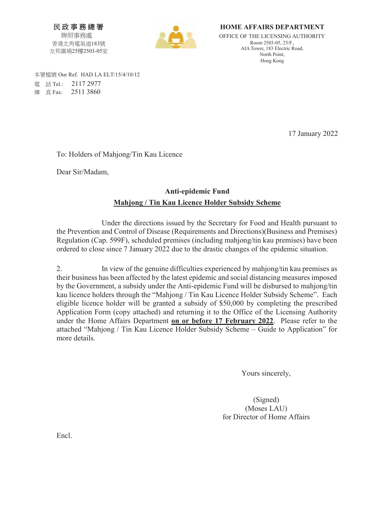民政事務總署 牌照事務處 香港北角電氣道183號 友邦廣場25樓2503-05室



**HOME AFFAIRS DEPARTMENT**  OFFICE OF THE LICENSING AUTHORITY Room 2503-05, 25/F., AIA Tower, 183 Electric Road, North Point, Hong Kong

本署檔號 Our Ref. HAD LA ELT/15/4/10/12 暣 娙 Tel.: 2117 2977 傳 真 Fax: 2511 3860

17 January 2022

To: Holders of Mahjong/Tin Kau Licence

Dear Sir/Madam,

## **Anti-epidemic Fund Mahjong / Tin Kau Licence Holder Subsidy Scheme**

 Under the directions issued by the Secretary for Food and Health pursuant to the Prevention and Control of Disease (Requirements and Directions)(Business and Premises) Regulation (Cap. 599F), scheduled premises (including mahjong/tin kau premises) have been ordered to close since 7 January 2022 due to the drastic changes of the epidemic situation.

2. In view of the genuine difficulties experienced by mahjong/tin kau premises as their business has been affected by the latest epidemic and social distancing measures imposed by the Government, a subsidy under the Anti-epidemic Fund will be disbursed to mahjong/tin kau licence holders through the "Mahjong / Tin Kau Licence Holder Subsidy Scheme". Each eligible licence holder will be granted a subsidy of \$50,000 by completing the prescribed Application Form (copy attached) and returning it to the Office of the Licensing Authority under the Home Affairs Department **on or before 17 February 2022**. Please refer to the attached "Mahjong / Tin Kau Licence Holder Subsidy Scheme – Guide to Application" for more details.

Yours sincerely,

(Signed) (Moses LAU) for Director of Home Affairs

Encl.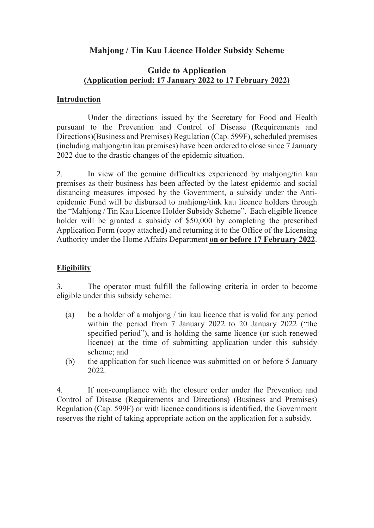# **Mahjong / Tin Kau Licence Holder Subsidy Scheme**

## **Guide to Application (Application period: 17 January 2022 to 17 February 2022)**

#### **Introduction**

Under the directions issued by the Secretary for Food and Health pursuant to the Prevention and Control of Disease (Requirements and Directions)(Business and Premises) Regulation (Cap. 599F), scheduled premises (including mahjong/tin kau premises) have been ordered to close since 7 January 2022 due to the drastic changes of the epidemic situation.

2. In view of the genuine difficulties experienced by mahjong/tin kau premises as their business has been affected by the latest epidemic and social distancing measures imposed by the Government, a subsidy under the Antiepidemic Fund will be disbursed to mahjong/tink kau licence holders through the "Mahjong / Tin Kau Licence Holder Subsidy Scheme". Each eligible licence holder will be granted a subsidy of \$50,000 by completing the prescribed Application Form (copy attached) and returning it to the Office of the Licensing Authority under the Home Affairs Department **on or before 17 February 2022**.

## **Eligibility**

3. The operator must fulfill the following criteria in order to become eligible under this subsidy scheme:

- (a) be a holder of a mahjong / tin kau licence that is valid for any period within the period from 7 January 2022 to 20 January 2022 ("the specified period"), and is holding the same licence (or such renewed licence) at the time of submitting application under this subsidy scheme; and
- (b) the application for such licence was submitted on or before 5 January 2022.

4. If non-compliance with the closure order under the Prevention and Control of Disease (Requirements and Directions) (Business and Premises) Regulation (Cap. 599F) or with licence conditions is identified, the Government reserves the right of taking appropriate action on the application for a subsidy.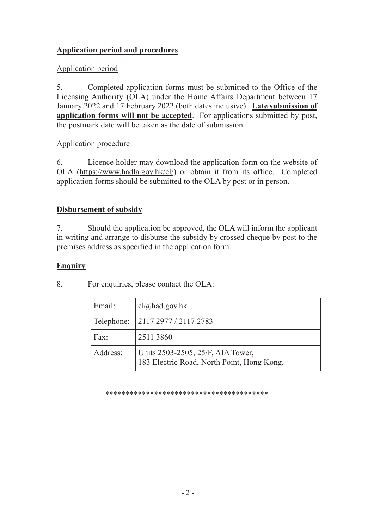## **Application period and procedures**

## Application period

5. Completed application forms must be submitted to the Office of the Licensing Authority (OLA) under the Home Affairs Department between 17 January 2022 and 17 February 2022 (both dates inclusive). **Late submission of application forms will not be accepted**. For applications submitted by post, the postmark date will be taken as the date of submission.

### Application procedure

6. Licence holder may download the application form on the website of OLA (https://www.hadla.gov.hk/el/) or obtain it from its office. Completed application forms should be submitted to the OLA by post or in person.

### **Disbursement of subsidy**

7. Should the application be approved, the OLA will inform the applicant in writing and arrange to disburse the subsidy by crossed cheque by post to the premises address as specified in the application form.

#### **Enquiry**

8. For enquiries, please contact the OLA:

| Email:     | $el(\omega)$ had.gov.hk                                                         |
|------------|---------------------------------------------------------------------------------|
| Telephone: | 2117 2977 / 2117 2783                                                           |
| Fax:       | 2511 3860                                                                       |
| Address:   | Units 2503-2505, 25/F, AIA Tower,<br>183 Electric Road, North Point, Hong Kong. |

\*\*\*\*\*\*\*\*\*\*\*\*\*\*\*\*\*\*\*\*\*\*\*\*\*\*\*\*\*\*\*\*\*\*\*\*\*\*\*\*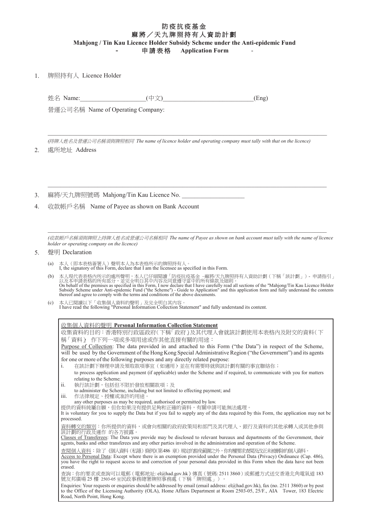#### 防疫抗疫基金 麻將/天九牌照持有人資助計劃 **Mahjong / Tin Kau Licence Holder Subsidy Scheme under the Anti-epidemic Fund**

中請表格 Application Form

1. 䇴䄏㊩㚱Ṣ Licence Holder

姓名 Name:  $(\pm \chi)$  (contract the contract of the contract of the contract of the contract of the contract of the contract of the contract of the contract of the contract of the contract of the contract of the contract of t

營運公司名稱 Name of Operating Company:

*(*㊩䇴Ṣ⥻⎵⍲䆇忳℔⎠⎵䧙枰冯䇴䄏䚠⎴ *The name of licence holder and operating company must tally with that on the licence)*

 $\mathcal{L}_\mathcal{L} = \{ \mathcal{L}_\mathcal{L} = \{ \mathcal{L}_\mathcal{L} = \{ \mathcal{L}_\mathcal{L} = \{ \mathcal{L}_\mathcal{L} = \{ \mathcal{L}_\mathcal{L} = \{ \mathcal{L}_\mathcal{L} = \{ \mathcal{L}_\mathcal{L} = \{ \mathcal{L}_\mathcal{L} = \{ \mathcal{L}_\mathcal{L} = \{ \mathcal{L}_\mathcal{L} = \{ \mathcal{L}_\mathcal{L} = \{ \mathcal{L}_\mathcal{L} = \{ \mathcal{L}_\mathcal{L} = \{ \mathcal{L}_\mathcal{$ 

 $\mathcal{L}_\mathcal{L} = \{ \mathcal{L}_\mathcal{L} = \{ \mathcal{L}_\mathcal{L} = \{ \mathcal{L}_\mathcal{L} = \{ \mathcal{L}_\mathcal{L} = \{ \mathcal{L}_\mathcal{L} = \{ \mathcal{L}_\mathcal{L} = \{ \mathcal{L}_\mathcal{L} = \{ \mathcal{L}_\mathcal{L} = \{ \mathcal{L}_\mathcal{L} = \{ \mathcal{L}_\mathcal{L} = \{ \mathcal{L}_\mathcal{L} = \{ \mathcal{L}_\mathcal{L} = \{ \mathcal{L}_\mathcal{L} = \{ \mathcal{L}_\mathcal{$ 

2. 處所地址 Address

- 3. 麻將/天九牌照號碼 Mahjong/Tin Kau Licence No.
- 4. 收款帳戶名稱 Name of Payee as shown on Bank Account

*(*㓞㫦ⷛ㇞⎵䧙枰冯䇴䄏ᶲ㊩䇴Ṣ⥻⎵ㆾ䆇忳℔⎠⎵䧙䚠⎴ *The name of Payee as shown on bank account must tally with the name of licence holder or operating company on the licence)*

#### 5. 磬明 Declaration

- 
- (a) 本人 (即本表格簽署人) 聲明本人為本表格所示的牌照持有人。<br>I, the signatory of this Form, declare that I am the licensee as specified in this Form.
- (b) 本人現代表表格內所示的處所聲明,本人已仔細閱讀「防疫抗疫基金 –麻將/天九牌照持有人資助計劃(下稱「該計劃」)- 申請指引」<br>以及本申請表格的所有部分,並完全明白其中內容及同意遵守當中的所有條款及細則。<br>On behalf of the premises as specified in this Form, I now declare that I have carefully read all sections of the " Subsidy Scheme under Anti-epidemic Fund ("the Scheme") - Guide to Application" and this application form and fully understand the contents thereof and agree to comply with the terms and conditions of the above documents.
- (c) 本人已閱讀以下「收集個人資料的聲明」及完全明白其內容。<br>I have read the following "Personal Information Collection Statement" and fully understand its content.